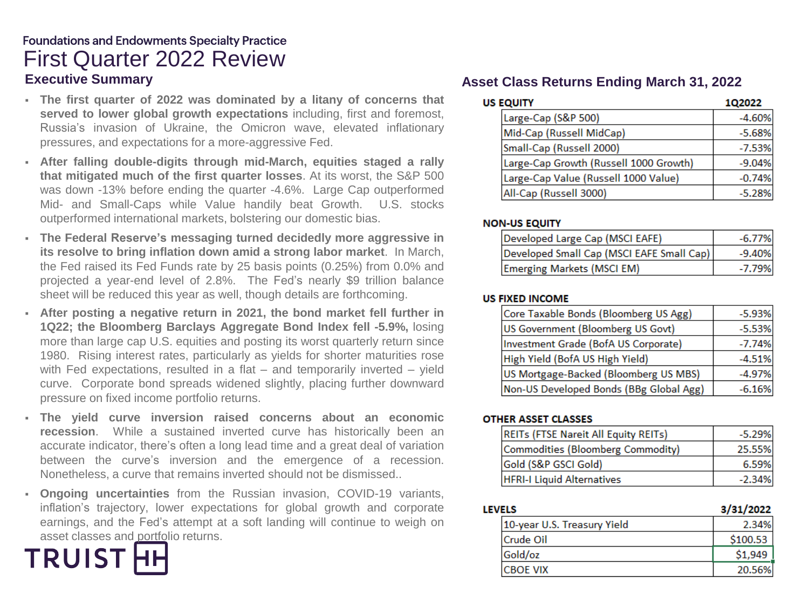# **Foundations and Endowments Specialty Practice** First Quarter 2022 Review **Executive Summary Asset Class Returns Ending March 31, 2022**

- **The first quarter of 2022 was dominated by a litany of concerns that served to lower global growth expectations** including, first and foremost, Russia's invasion of Ukraine, the Omicron wave, elevated inflationary pressures, and expectations for a more-aggressive Fed.
- **After falling double-digits through mid-March, equities staged a rally that mitigated much of the first quarter losses**. At its worst, the S&P 500 was down -13% before ending the quarter -4.6%. Large Cap outperformed Mid- and Small-Caps while Value handily beat Growth. U.S. stocks outperformed international markets, bolstering our domestic bias.
- **The Federal Reserve's messaging turned decidedly more aggressive in its resolve to bring inflation down amid a strong labor market**. In March, the Fed raised its Fed Funds rate by 25 basis points (0.25%) from 0.0% and projected a year-end level of 2.8%. The Fed's nearly \$9 trillion balance sheet will be reduced this year as well, though details are forthcoming.
- **After posting a negative return in 2021, the bond market fell further in 1Q22; the Bloomberg Barclays Aggregate Bond Index fell -5.9%,** losing more than large cap U.S. equities and posting its worst quarterly return since 1980. Rising interest rates, particularly as yields for shorter maturities rose with Fed expectations, resulted in a flat – and temporarily inverted – yield curve. Corporate bond spreads widened slightly, placing further downward pressure on fixed income portfolio returns.
- **The yield curve inversion raised concerns about an economic recession**. While a sustained inverted curve has historically been an accurate indicator, there's often a long lead time and a great deal of variation between the curve's inversion and the emergence of a recession. Nonetheless, a curve that remains inverted should not be dismissed..
- **Ongoing uncertainties** from the Russian invasion, COVID-19 variants, inflation's trajectory, lower expectations for global growth and corporate earnings, and the Fed's attempt at a soft landing will continue to weigh on asset classes and portfolio returns.



| <b>US EQUITY</b>                       | 1Q2022   |
|----------------------------------------|----------|
| Large-Cap (S&P 500)                    | $-4.60%$ |
| Mid-Cap (Russell MidCap)               | $-5.68%$ |
| Small-Cap (Russell 2000)               | $-7.53%$ |
| Large-Cap Growth (Russell 1000 Growth) | $-9.04%$ |
| Large-Cap Value (Russell 1000 Value)   | $-0.74%$ |
| All-Cap (Russell 3000)                 | $-5.28%$ |

#### **NON-US EQUITY**

| Developed Large Cap (MSCI EAFE)           | $-6.77%$ |
|-------------------------------------------|----------|
| Developed Small Cap (MSCI EAFE Small Cap) | -9.40%   |
| Emerging Markets (MSCI EM)                | -7.79%   |

#### **US FIXED INCOME**

| Core Taxable Bonds (Bloomberg US Agg)   | $-5.93%$ |  |
|-----------------------------------------|----------|--|
| US Government (Bloomberg US Govt)       | $-5.53%$ |  |
| Investment Grade (BofA US Corporate)    | $-7.74%$ |  |
| High Yield (BofA US High Yield)         | $-4.51%$ |  |
| US Mortgage-Backed (Bloomberg US MBS)   | $-4.97%$ |  |
| Non-US Developed Bonds (BBg Global Agg) | $-6.16%$ |  |

#### **OTHER ASSET CLASSES**

| REITs (FTSE Nareit All Equity REITs) | $-5.29%$ |
|--------------------------------------|----------|
| Commodities (Bloomberg Commodity)    | 25.55%   |
| Gold (S&P GSCI Gold)                 | 6.59%    |
| <b>HFRI-I Liquid Alternatives</b>    | $-2.34%$ |

| <b>LEVELS</b>               | 3/31/2022 |
|-----------------------------|-----------|
| 10-year U.S. Treasury Yield | 2.34%     |
| Crude Oil                   | \$100.53  |
| Gold/oz                     | \$1,949   |
| <b>CBOE VIX</b>             | 20.56%    |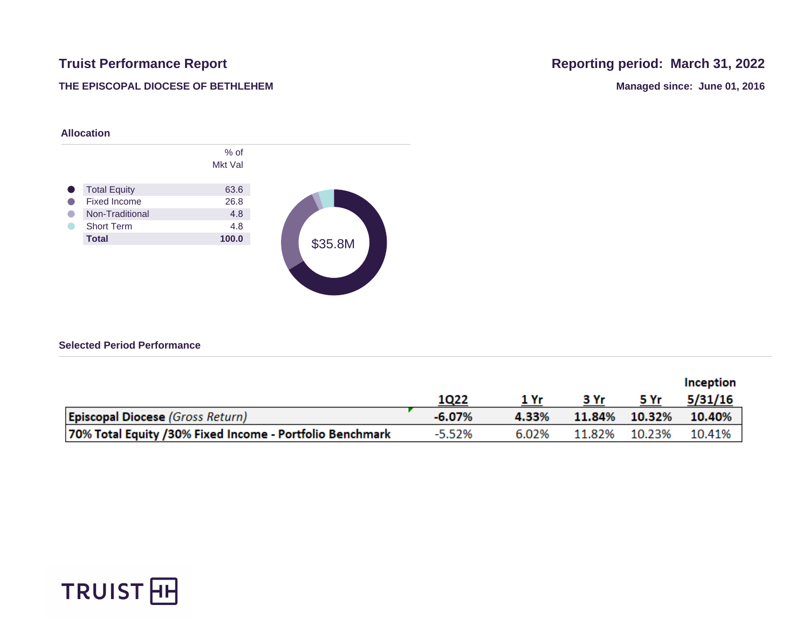## **THE EPISCOPAL DIOCESE OF BETHLEHEM Managed since: June 01, 2016**

# **Truist Performance Report Report Reporting period: March 31, 2022**



### **Selected Period Performance**

|                                                          |          |       |      |               | Inception |
|----------------------------------------------------------|----------|-------|------|---------------|-----------|
|                                                          | 1Q22     |       | 3 Yr | 5 Yr          | 5/31/16   |
| <b>Episcopal Diocese (Gross Return)</b>                  | $-6.07%$ | 4.33% |      | 11.84% 10.32% | 10.40%    |
| 70% Total Equity /30% Fixed Income - Portfolio Benchmark | $-5.52%$ | 6.02% |      | 11.82% 10.23% | 10.41%    |